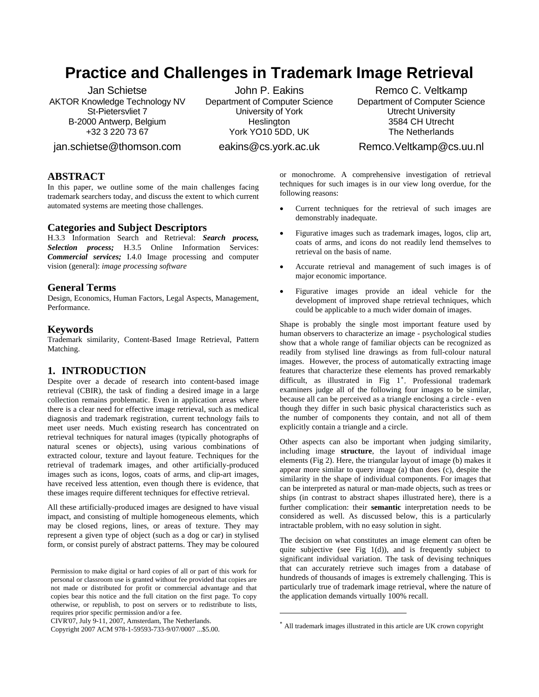# **Practice and Challenges in Trademark Image Retrieval**

Jan Schietse AKTOR Knowledge Technology NV St-Pietersvliet 7 B-2000 Antwerp, Belgium +32 3 220 73 67

jan.schietse@thomson.com

John P. Eakins Department of Computer Science University of York **Heslington** York YO10 5DD, UK

eakins@cs.york.ac.uk

Remco C. Veltkamp Department of Computer Science Utrecht University 3584 CH Utrecht The Netherlands

Remco.Veltkamp@cs.uu.nl

# **ABSTRACT**

In this paper, we outline some of the main challenges facing trademark searchers today, and discuss the extent to which current automated systems are meeting those challenges.

## **Categories and Subject Descriptors**

H.3.3 Information Search and Retrieval: *Search process, Selection process;* H.3.5 Online Information Services: *Commercial services;* I.4.0 Image processing and computer vision (general): *image processing software*

# **General Terms**

Design, Economics, Human Factors, Legal Aspects, Management, Performance.

## **Keywords**

Trademark similarity, Content-Based Image Retrieval, Pattern Matching.

## **1. INTRODUCTION**

Despite over a decade of research into content-based image retrieval (CBIR), the task of finding a desired image in a large collection remains problematic. Even in application areas where there is a clear need for effective image retrieval, such as medical diagnosis and trademark registration, current technology fails to meet user needs. Much existing research has concentrated on retrieval techniques for natural images (typically photographs of natural scenes or objects), using various combinations of extracted colour, texture and layout feature. Techniques for the retrieval of trademark images, and other artificially-produced images such as icons, logos, coats of arms, and clip-art images, have received less attention, even though there is evidence, that these images require different techniques for effective retrieval.

All these artificially-produced images are designed to have visual impact, and consisting of multiple homogeneous elements, which may be closed regions, lines, or areas of texture. They may represent a given type of object (such as a dog or car) in stylised form, or consist purely of abstract patterns. They may be coloured

CIVR'07, July 9-11, 2007, Amsterdam, The Netherlands.

or monochrome. A comprehensive investigation of retrieval techniques for such images is in our view long overdue, for the following reasons:

- Current techniques for the retrieval of such images are demonstrably inadequate.
- Figurative images such as trademark images, logos, clip art, coats of arms, and icons do not readily lend themselves to retrieval on the basis of name.
- Accurate retrieval and management of such images is of major economic importance.
- Figurative images provide an ideal vehicle for the development of improved shape retrieval techniques, which could be applicable to a much wider domain of images.

Shape is probably the single most important feature used by human observers to characterize an image - psychological studies show that a whole range of familiar objects can be recognized as readily from stylised line drawings as from full-colour natural images. However, the process of automatically extracting image features that characterize these elements has proved remarkably difficult, as illustrated in Fig 1[∗](#page-0-0) . Professional trademark examiners judge all of the following four images to be similar, because all can be perceived as a triangle enclosing a circle - even though they differ in such basic physical characteristics such as the number of components they contain, and not all of them explicitly contain a triangle and a circle.

Other aspects can also be important when judging similarity, including image **structure**, the layout of individual image elements (Fig 2). Here, the triangular layout of image (b) makes it appear more similar to query image (a) than does (c), despite the similarity in the shape of individual components. For images that can be interpreted as natural or man-made objects, such as trees or ships (in contrast to abstract shapes illustrated here), there is a further complication: their **semantic** interpretation needs to be considered as well. As discussed below, this is a particularly intractable problem, with no easy solution in sight.

The decision on what constitutes an image element can often be quite subjective (see Fig 1(d)), and is frequently subject to significant individual variation. The task of devising techniques that can accurately retrieve such images from a database of hundreds of thousands of images is extremely challenging. This is particularly true of trademark image retrieval, where the nature of the application demands virtually 100% recall.

Permission to make digital or hard copies of all or part of this work for personal or classroom use is granted without fee provided that copies are not made or distributed for profit or commercial advantage and that copies bear this notice and the full citation on the first page. To copy otherwise, or republish, to post on servers or to redistribute to lists, requires prior specific permission and/or a fee.

<span id="page-0-0"></span>Copyright 2007 ACM 978-1-59593-733-9/07/0007 ...\$5.00. \*\*\* All trademark images illustrated in this article are UK crown copyright 2007 ACM 978-1-59593-733-9/07/0007 ...\$5.00.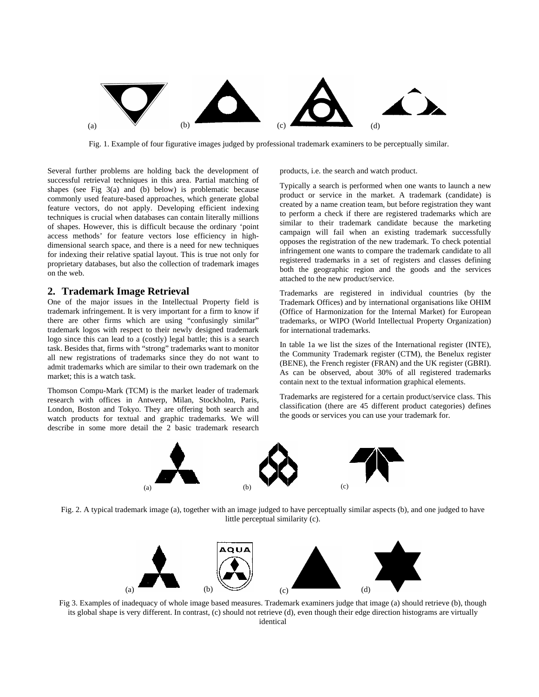

Fig. 1. Example of four figurative images judged by professional trademark examiners to be perceptually similar.

Several further problems are holding back the development of successful retrieval techniques in this area. Partial matching of shapes (see Fig 3(a) and (b) below) is problematic because commonly used feature-based approaches, which generate global feature vectors, do not apply. Developing efficient indexing techniques is crucial when databases can contain literally millions of shapes. However, this is difficult because the ordinary 'point access methods' for feature vectors lose efficiency in highdimensional search space, and there is a need for new techniques for indexing their relative spatial layout. This is true not only for proprietary databases, but also the collection of trademark images on the web.

## **2. Trademark Image Retrieval**

One of the major issues in the Intellectual Property field is trademark infringement. It is very important for a firm to know if there are other firms which are using "confusingly similar" trademark logos with respect to their newly designed trademark logo since this can lead to a (costly) legal battle; this is a search task. Besides that, firms with "strong" trademarks want to monitor all new registrations of trademarks since they do not want to admit trademarks which are similar to their own trademark on the market; this is a watch task.

Thomson Compu-Mark (TCM) is the market leader of trademark research with offices in Antwerp, Milan, Stockholm, Paris, London, Boston and Tokyo. They are offering both search and watch products for textual and graphic trademarks. We will describe in some more detail the 2 basic trademark research

products, i.e. the search and watch product.

Typically a search is performed when one wants to launch a new product or service in the market. A trademark (candidate) is created by a name creation team, but before registration they want to perform a check if there are registered trademarks which are similar to their trademark candidate because the marketing campaign will fail when an existing trademark successfully opposes the registration of the new trademark. To check potential infringement one wants to compare the trademark candidate to all registered trademarks in a set of registers and classes defining both the geographic region and the goods and the services attached to the new product/service.

Trademarks are registered in individual countries (by the Trademark Offices) and by international organisations like OHIM (Office of Harmonization for the Internal Market) for European trademarks, or WIPO (World Intellectual Property Organization) for international trademarks.

In table 1a we list the sizes of the International register (INTE), the Community Trademark register (CTM), the Benelux register (BENE), the French register (FRAN) and the UK register (GBRI). As can be observed, about 30% of all registered trademarks contain next to the textual information graphical elements.

Trademarks are registered for a certain product/service class. This classification (there are 45 different product categories) defines the goods or services you can use your trademark for.



Fig. 2. A typical trademark image (a), together with an image judged to have perceptually similar aspects (b), and one judged to have little perceptual similarity (c).



Fig 3. Examples of inadequacy of whole image based measures. Trademark examiners judge that image (a) should retrieve (b), though its global shape is very different. In contrast, (c) should not retrieve (d), even though their edge direction histograms are virtually identical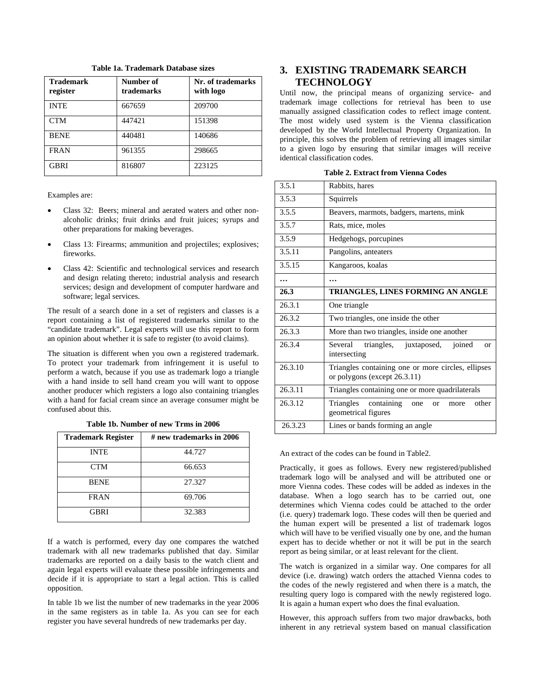| <b>Trademark</b><br>register | Number of<br>trademarks | Nr. of trademarks<br>with logo |
|------------------------------|-------------------------|--------------------------------|
| <b>INTE</b>                  | 667659                  | 209700                         |
| <b>CTM</b>                   | 447421                  | 151398                         |
| <b>BENE</b>                  | 440481                  | 140686                         |
| <b>FRAN</b>                  | 961355                  | 298665                         |
| <b>GBRI</b>                  | 816807                  | 223125                         |

**Table 1a. Trademark Database sizes** 

Examples are:

- Class 32: Beers; mineral and aerated waters and other nonalcoholic drinks; fruit drinks and fruit juices; syrups and other preparations for making beverages.
- Class 13: Firearms; ammunition and projectiles; explosives; fireworks.
- Class 42: Scientific and technological services and research and design relating thereto; industrial analysis and research services; design and development of computer hardware and software; legal services.

The result of a search done in a set of registers and classes is a report containing a list of registered trademarks similar to the "candidate trademark". Legal experts will use this report to form an opinion about whether it is safe to register (to avoid claims).

The situation is different when you own a registered trademark. To protect your trademark from infringement it is useful to perform a watch, because if you use as trademark logo a triangle with a hand inside to sell hand cream you will want to oppose another producer which registers a logo also containing triangles with a hand for facial cream since an average consumer might be confused about this.

| Table 1b. Number of new Trms in 2006 |  |  |  |  |  |
|--------------------------------------|--|--|--|--|--|
|--------------------------------------|--|--|--|--|--|

| <b>Trademark Register</b> | # new trademarks in 2006 |
|---------------------------|--------------------------|
| <b>INTE</b>               | 44.727                   |
| <b>CTM</b>                | 66.653                   |
| <b>BENE</b>               | 27.327                   |
| <b>FRAN</b>               | 69.706                   |
| GBRI                      | 32.383                   |

If a watch is performed, every day one compares the watched trademark with all new trademarks published that day. Similar trademarks are reported on a daily basis to the watch client and again legal experts will evaluate these possible infringements and decide if it is appropriate to start a legal action. This is called opposition.

In table 1b we list the number of new trademarks in the year 2006 in the same registers as in table 1a. As you can see for each register you have several hundreds of new trademarks per day.

# **3. EXISTING TRADEMARK SEARCH TECHNOLOGY**

Until now, the principal means of organizing service- and trademark image collections for retrieval has been to use manually assigned classification codes to reflect image content. The most widely used system is the Vienna classification developed by the World Intellectual Property Organization. In principle, this solves the problem of retrieving all images similar to a given logo by ensuring that similar images will receive identical classification codes.

| Table 2. Extract from Vienna Codes |
|------------------------------------|
|------------------------------------|

| 3.5.1   | Rabbits, hares                                                                     |  |  |
|---------|------------------------------------------------------------------------------------|--|--|
| 3.5.3   | Squirrels                                                                          |  |  |
| 3.5.5   | Beavers, marmots, badgers, martens, mink                                           |  |  |
| 3.5.7   | Rats, mice, moles                                                                  |  |  |
| 3.5.9   | Hedgehogs, porcupines                                                              |  |  |
| 3.5.11  | Pangolins, anteaters                                                               |  |  |
| 3.5.15  | Kangaroos, koalas                                                                  |  |  |
|         |                                                                                    |  |  |
| 26.3    | TRIANGLES, LINES FORMING AN ANGLE                                                  |  |  |
| 26.3.1  | One triangle                                                                       |  |  |
| 26.3.2  | Two triangles, one inside the other                                                |  |  |
| 26.3.3  | More than two triangles, inside one another                                        |  |  |
| 26.3.4  | Several<br>triangles, juxtaposed,<br>joined<br>$\alpha$<br>intersecting            |  |  |
| 26.3.10 | Triangles containing one or more circles, ellipses<br>or polygons (except 26.3.11) |  |  |
| 26.3.11 | Triangles containing one or more quadrilaterals                                    |  |  |
| 26.3.12 | Triangles containing<br>other<br>one<br><b>or</b><br>more<br>geometrical figures   |  |  |
| 26.3.23 | Lines or bands forming an angle                                                    |  |  |

An extract of the codes can be found in Table2.

Practically, it goes as follows. Every new registered/published trademark logo will be analysed and will be attributed one or more Vienna codes. These codes will be added as indexes in the database. When a logo search has to be carried out, one determines which Vienna codes could be attached to the order (i.e. query) trademark logo. These codes will then be queried and the human expert will be presented a list of trademark logos which will have to be verified visually one by one, and the human expert has to decide whether or not it will be put in the search report as being similar, or at least relevant for the client.

The watch is organized in a similar way. One compares for all device (i.e. drawing) watch orders the attached Vienna codes to the codes of the newly registered and when there is a match, the resulting query logo is compared with the newly registered logo. It is again a human expert who does the final evaluation.

However, this approach suffers from two major drawbacks, both inherent in any retrieval system based on manual classification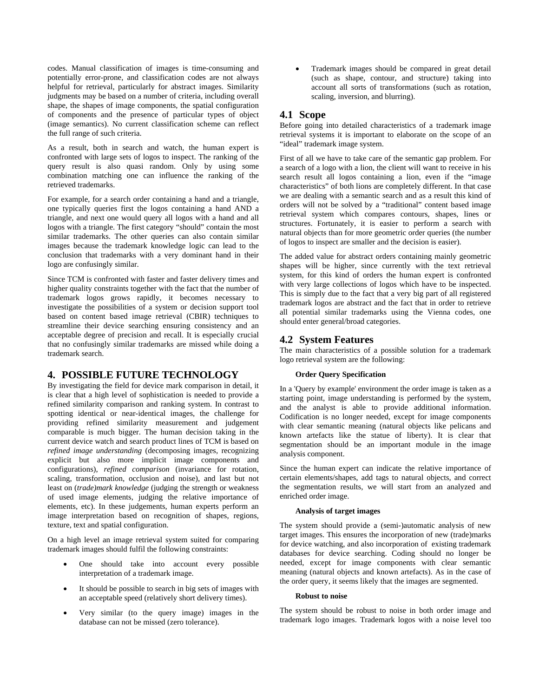codes. Manual classification of images is time-consuming and potentially error-prone, and classification codes are not always helpful for retrieval, particularly for abstract images. Similarity judgments may be based on a number of criteria, including overall shape, the shapes of image components, the spatial configuration of components and the presence of particular types of object (image semantics). No current classification scheme can reflect the full range of such criteria.

As a result, both in search and watch, the human expert is confronted with large sets of logos to inspect. The ranking of the query result is also quasi random. Only by using some combination matching one can influence the ranking of the retrieved trademarks.

For example, for a search order containing a hand and a triangle, one typically queries first the logos containing a hand AND a triangle, and next one would query all logos with a hand and all logos with a triangle. The first category "should" contain the most similar trademarks. The other queries can also contain similar images because the trademark knowledge logic can lead to the conclusion that trademarks with a very dominant hand in their logo are confusingly similar.

Since TCM is confronted with faster and faster delivery times and higher quality constraints together with the fact that the number of trademark logos grows rapidly, it becomes necessary to investigate the possibilities of a system or decision support tool based on content based image retrieval (CBIR) techniques to streamline their device searching ensuring consistency and an acceptable degree of precision and recall. It is especially crucial that no confusingly similar trademarks are missed while doing a trademark search.

# **4. POSSIBLE FUTURE TECHNOLOGY**

By investigating the field for device mark comparison in detail, it is clear that a high level of sophistication is needed to provide a refined similarity comparison and ranking system. In contrast to spotting identical or near-identical images, the challenge for providing refined similarity measurement and judgement comparable is much bigger. The human decision taking in the current device watch and search product lines of TCM is based on *refined image understanding* (decomposing images, recognizing explicit but also more implicit image components and configurations), *refined comparison* (invariance for rotation, scaling, transformation, occlusion and noise), and last but not least on (*trade)mark knowledge* (judging the strength or weakness of used image elements, judging the relative importance of elements, etc). In these judgements, human experts perform an image interpretation based on recognition of shapes, regions, texture, text and spatial configuration.

On a high level an image retrieval system suited for comparing trademark images should fulfil the following constraints:

- One should take into account every possible interpretation of a trademark image.
- It should be possible to search in big sets of images with an acceptable speed (relatively short delivery times).
- Very similar (to the query image) images in the database can not be missed (zero tolerance).

• Trademark images should be compared in great detail (such as shape, contour, and structure) taking into account all sorts of transformations (such as rotation, scaling, inversion, and blurring).

# **4.1 Scope**

Before going into detailed characteristics of a trademark image retrieval systems it is important to elaborate on the scope of an "ideal" trademark image system.

First of all we have to take care of the semantic gap problem. For a search of a logo with a lion, the client will want to receive in his search result all logos containing a lion, even if the "image characteristics" of both lions are completely different. In that case we are dealing with a semantic search and as a result this kind of orders will not be solved by a "traditional" content based image retrieval system which compares contours, shapes, lines or structures. Fortunately, it is easier to perform a search with natural objects than for more geometric order queries (the number of logos to inspect are smaller and the decision is easier).

The added value for abstract orders containing mainly geometric shapes will be higher, since currently with the text retrieval system, for this kind of orders the human expert is confronted with very large collections of logos which have to be inspected. This is simply due to the fact that a very big part of all registered trademark logos are abstract and the fact that in order to retrieve all potential similar trademarks using the Vienna codes, one should enter general/broad categories.

# **4.2 System Features**

The main characteristics of a possible solution for a trademark logo retrieval system are the following:

## **Order Query Specification**

In a 'Query by example' environment the order image is taken as a starting point, image understanding is performed by the system, and the analyst is able to provide additional information. Codification is no longer needed, except for image components with clear semantic meaning (natural objects like pelicans and known artefacts like the statue of liberty). It is clear that segmentation should be an important module in the image analysis component.

Since the human expert can indicate the relative importance of certain elements/shapes, add tags to natural objects, and correct the segmentation results, we will start from an analyzed and enriched order image.

#### **Analysis of target images**

The system should provide a (semi-)automatic analysis of new target images. This ensures the incorporation of new (trade)marks for device watching, and also incorporation of existing trademark databases for device searching. Coding should no longer be needed, except for image components with clear semantic meaning (natural objects and known artefacts). As in the case of the order query, it seems likely that the images are segmented.

#### **Robust to noise**

The system should be robust to noise in both order image and trademark logo images. Trademark logos with a noise level too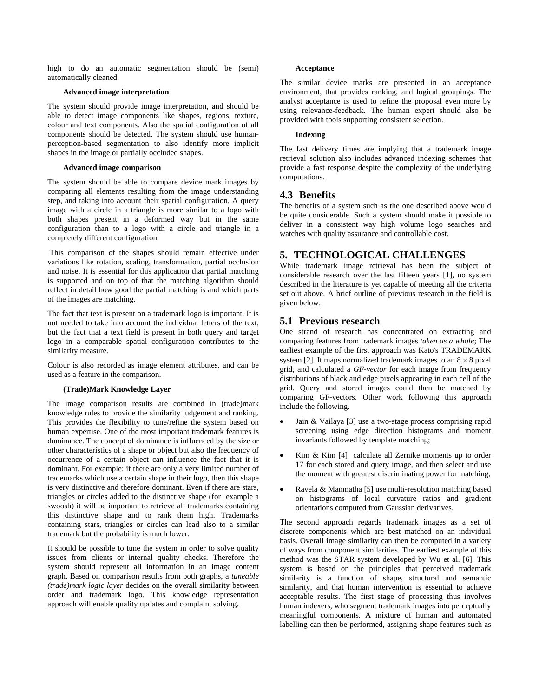high to do an automatic segmentation should be (semi) automatically cleaned.

#### **Advanced image interpretation**

The system should provide image interpretation, and should be able to detect image components like shapes, regions, texture, colour and text components. Also the spatial configuration of all components should be detected. The system should use humanperception-based segmentation to also identify more implicit shapes in the image or partially occluded shapes.

#### **Advanced image comparison**

The system should be able to compare device mark images by comparing all elements resulting from the image understanding step, and taking into account their spatial configuration. A query image with a circle in a triangle is more similar to a logo with both shapes present in a deformed way but in the same configuration than to a logo with a circle and triangle in a completely different configuration.

 This comparison of the shapes should remain effective under variations like rotation, scaling, transformation, partial occlusion and noise. It is essential for this application that partial matching is supported and on top of that the matching algorithm should reflect in detail how good the partial matching is and which parts of the images are matching.

The fact that text is present on a trademark logo is important. It is not needed to take into account the individual letters of the text, but the fact that a text field is present in both query and target logo in a comparable spatial configuration contributes to the similarity measure.

Colour is also recorded as image element attributes, and can be used as a feature in the comparison.

#### **(Trade)Mark Knowledge Layer**

The image comparison results are combined in (trade)mark knowledge rules to provide the similarity judgement and ranking. This provides the flexibility to tune/refine the system based on human expertise. One of the most important trademark features is dominance. The concept of dominance is influenced by the size or other characteristics of a shape or object but also the frequency of occurrence of a certain object can influence the fact that it is dominant. For example: if there are only a very limited number of trademarks which use a certain shape in their logo, then this shape is very distinctive and therefore dominant. Even if there are stars, triangles or circles added to the distinctive shape (for example a swoosh) it will be important to retrieve all trademarks containing this distinctive shape and to rank them high. Trademarks containing stars, triangles or circles can lead also to a similar trademark but the probability is much lower.

It should be possible to tune the system in order to solve quality issues from clients or internal quality checks. Therefore the system should represent all information in an image content graph. Based on comparison results from both graphs, a *tuneable (trade)mark logic layer* decides on the overall similarity between order and trademark logo. This knowledge representation approach will enable quality updates and complaint solving.

#### **Acceptance**

The similar device marks are presented in an acceptance environment, that provides ranking, and logical groupings. The analyst acceptance is used to refine the proposal even more by using relevance-feedback. The human expert should also be provided with tools supporting consistent selection.

#### **Indexing**

The fast delivery times are implying that a trademark image retrieval solution also includes advanced indexing schemes that provide a fast response despite the complexity of the underlying computations.

## **4.3 Benefits**

The benefits of a system such as the one described above would be quite considerable. Such a system should make it possible to deliver in a consistent way high volume logo searches and watches with quality assurance and controllable cost.

# **5. TECHNOLOGICAL CHALLENGES**

While trademark image retrieval has been the subject of considerable research over the last fifteen years [1], no system described in the literature is yet capable of meeting all the criteria set out above. A brief outline of previous research in the field is given below.

## **5.1 Previous research**

One strand of research has concentrated on extracting and comparing features from trademark images *taken as a whole*; The earliest example of the first approach was Kato's TRADEMARK system [2]. It maps normalized trademark images to an  $8 \times 8$  pixel grid, and calculated a *GF-vector* for each image from frequency distributions of black and edge pixels appearing in each cell of the grid. Query and stored images could then be matched by comparing GF-vectors. Other work following this approach include the following.

- Jain & Vailaya [3] use a two-stage process comprising rapid screening using edge direction histograms and moment invariants followed by template matching;
- Kim & Kim [4] calculate all Zernike moments up to order 17 for each stored and query image, and then select and use the moment with greatest discriminating power for matching;
- Ravela & Manmatha [5] use multi-resolution matching based on histograms of local curvature ratios and gradient orientations computed from Gaussian derivatives.

The second approach regards trademark images as a set of discrete components which are best matched on an individual basis. Overall image similarity can then be computed in a variety of ways from component similarities. The earliest example of this method was the STAR system developed by Wu et al. [6]. This system is based on the principles that perceived trademark similarity is a function of shape, structural and semantic similarity, and that human intervention is essential to achieve acceptable results. The first stage of processing thus involves human indexers, who segment trademark images into perceptually meaningful components. A mixture of human and automated labelling can then be performed, assigning shape features such as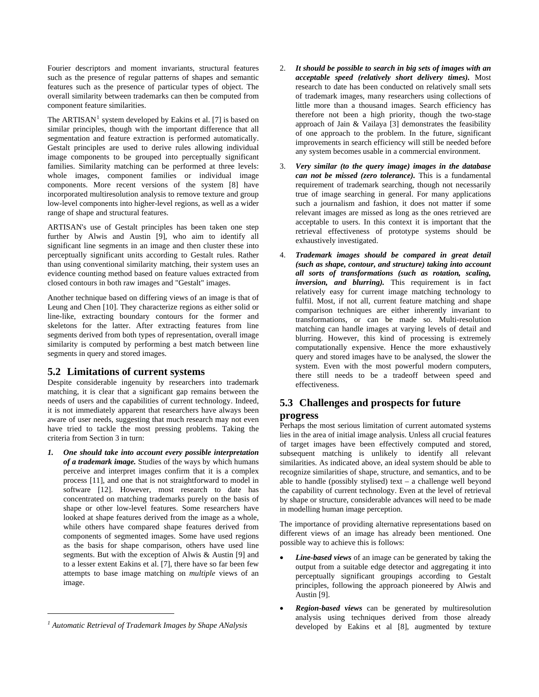Fourier descriptors and moment invariants, structural features such as the presence of regular patterns of shapes and semantic features such as the presence of particular types of object. The overall similarity between trademarks can then be computed from component feature similarities.

The ARTISAN<sup>[1](#page-5-0)</sup> system developed by Eakins et al. [7] is based on similar principles, though with the important difference that all segmentation and feature extraction is performed automatically. Gestalt principles are used to derive rules allowing individual image components to be grouped into perceptually significant families. Similarity matching can be performed at three levels: whole images, component families or individual image components. More recent versions of the system [8] have incorporated multiresolution analysis to remove texture and group low-level components into higher-level regions, as well as a wider range of shape and structural features.

ARTISAN's use of Gestalt principles has been taken one step further by Alwis and Austin [9], who aim to identify all significant line segments in an image and then cluster these into perceptually significant units according to Gestalt rules. Rather than using conventional similarity matching, their system uses an evidence counting method based on feature values extracted from closed contours in both raw images and "Gestalt" images.

Another technique based on differing views of an image is that of Leung and Chen [10]. They characterize regions as either solid or line-like, extracting boundary contours for the former and skeletons for the latter. After extracting features from line segments derived from both types of representation, overall image similarity is computed by performing a best match between line segments in query and stored images.

# **5.2 Limitations of current systems**

Despite considerable ingenuity by researchers into trademark matching, it is clear that a significant gap remains between the needs of users and the capabilities of current technology. Indeed, it is not immediately apparent that researchers have always been aware of user needs, suggesting that much research may not even have tried to tackle the most pressing problems. Taking the criteria from Section 3 in turn:

*1. One should take into account every possible interpretation of a trademark image.* Studies of the ways by which humans perceive and interpret images confirm that it is a complex process [11], and one that is not straightforward to model in software [12]. However, most research to date has concentrated on matching trademarks purely on the basis of shape or other low-level features. Some researchers have looked at shape features derived from the image as a whole, while others have compared shape features derived from components of segmented images. Some have used regions as the basis for shape comparison, others have used line segments. But with the exception of Alwis & Austin [9] and to a lesser extent Eakins et al. [7], there have so far been few attempts to base image matching on *multiple* views of an image.

 $\overline{a}$ 

- 2. *It should be possible to search in big sets of images with an acceptable speed (relatively short delivery times).* Most research to date has been conducted on relatively small sets of trademark images, many researchers using collections of little more than a thousand images. Search efficiency has therefore not been a high priority, though the two-stage approach of Jain & Vailaya [3] demonstrates the feasibility of one approach to the problem. In the future, significant improvements in search efficiency will still be needed before any system becomes usable in a commercial environment.
- 3. *Very similar (to the query image) images in the database can not be missed (zero tolerance).* This is a fundamental requirement of trademark searching, though not necessarily true of image searching in general. For many applications such a journalism and fashion, it does not matter if some relevant images are missed as long as the ones retrieved are acceptable to users. In this context it is important that the retrieval effectiveness of prototype systems should be exhaustively investigated.
- 4. *Trademark images should be compared in great detail (such as shape, contour, and structure) taking into account all sorts of transformations (such as rotation, scaling, inversion, and blurring).* This requirement is in fact relatively easy for current image matching technology to fulfil. Most, if not all, current feature matching and shape comparison techniques are either inherently invariant to transformations, or can be made so. Multi-resolution matching can handle images at varying levels of detail and blurring. However, this kind of processing is extremely computationally expensive. Hence the more exhaustively query and stored images have to be analysed, the slower the system. Even with the most powerful modern computers, there still needs to be a tradeoff between speed and effectiveness.

# **5.3 Challenges and prospects for future progress**

Perhaps the most serious limitation of current automated systems lies in the area of initial image analysis. Unless all crucial features of target images have been effectively computed and stored, subsequent matching is unlikely to identify all relevant similarities. As indicated above, an ideal system should be able to recognize similarities of shape, structure, and semantics, and to be able to handle (possibly stylised) text – a challenge well beyond the capability of current technology. Even at the level of retrieval by shape or structure, considerable advances will need to be made in modelling human image perception.

The importance of providing alternative representations based on different views of an image has already been mentioned. One possible way to achieve this is follows:

- *Line-based views* of an image can be generated by taking the output from a suitable edge detector and aggregating it into perceptually significant groupings according to Gestalt principles, following the approach pioneered by Alwis and Austin [9].
- *Region-based views* can be generated by multiresolution analysis using techniques derived from those already developed by Eakins et al [8], augmented by texture

<span id="page-5-0"></span>*<sup>1</sup> Automatic Retrieval of Trademark Images by Shape ANalysis*